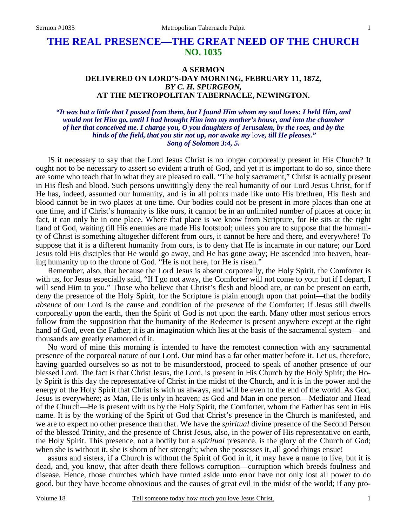## **THE REAL PRESENCE—THE GREAT NEED OF THE CHURCH NO. 1035**

## **A SERMON DELIVERED ON LORD'S-DAY MORNING, FEBRUARY 11, 1872,** *BY C. H. SPURGEON,*  **AT THE METROPOLITAN TABERNACLE, NEWINGTON.**

*"It was but a little that I passed from them, but I found Him whom my soul loves: I held Him, and would not let Him go, until I had brought Him into my mother's house, and into the chamber of her that conceived me. I charge you, O you daughters of Jerusalem, by the roes, and by the hinds of the field, that you stir not up, nor awake my* lov*e, till He pleases." Song of Solomon 3:4, 5.* 

IS it necessary to say that the Lord Jesus Christ is no longer corporeally present in His Church? It ought not to be necessary to assert so evident a truth of God, and yet it is important to do so, since there are some who teach that in what they are pleased to call, "The holy sacrament," Christ is actually present in His flesh and blood. Such persons unwittingly deny the real humanity of our Lord Jesus Christ, for if He has, indeed, assumed our humanity, and is in all points made like unto His brethren, His flesh and blood cannot be in two places at one time. Our bodies could not be present in more places than one at one time, and if Christ's humanity is like ours, it cannot be in an unlimited number of places at once; in fact, it can only be in one place. Where that place is we know from Scripture, for He sits at the right hand of God, waiting till His enemies are made His footstool; unless you are to suppose that the humanity of Christ is something altogether different from ours, it cannot be here and there, and everywhere! To suppose that it is a different humanity from ours, is to deny that He is incarnate in our nature; our Lord Jesus told His disciples that He would go away, and He has gone away; He ascended into heaven, bearing humanity up to the throne of God. "He is not here, for He is risen."

Remember, also, that because the Lord Jesus is absent corporeally, the Holy Spirit, the Comforter is with us, for Jesus especially said, "If I go not away, the Comforter will not come to you: but if I depart, I will send Him to you." Those who believe that Christ's flesh and blood are, or can be present on earth, deny the presence of the Holy Spirit, for the Scripture is plain enough upon that point—that the bodily *absence* of our Lord is the cause and condition of the pres*ence* of the Comforter; if Jesus still dwells corporeally upon the earth, then the Spirit of God is not upon the earth. Many other most serious errors follow from the supposition that the humanity of the Redeemer is present anywhere except at the right hand of God, even the Father; it is an imagination which lies at the basis of the sacramental system—and thousands are greatly enamored of it.

No word of mine this morning is intended to have the remotest connection with any sacramental presence of the corporeal nature of our Lord. Our mind has a far other matter before it. Let us, therefore, having guarded ourselves so as not to be misunderstood, proceed to speak of another presence of our blessed Lord. The fact is that Christ Jesus, the Lord, is present in His Church by the Holy Spirit; the Holy Spirit is this day the representative of Christ in the midst of the Church, and it is in the power and the energy of the Holy Spirit that Christ is with us always, and will be even to the end of the world. As God, Jesus is everywhere; as Man, He is only in heaven; as God and Man in one person—Mediator and Head of the Church—He is present with us by the Holy Spirit, the Comforter, whom the Father has sent in His name. It is by the working of the Spirit of God that Christ's presence in the Church is manifested, and we are to expect no other presence than that. We have the *spiritual* divine presence of the Second Person of the blessed Trinity, and the presence of Christ Jesus, also, in the power of His representative on earth, the Holy Spirit. This presence, not a bodily but a *spiritual* presence, is the glory of the Church of God; when she is without it, she is shorn of her strength; when she possesses it, all good things ensue!

assurs and sisters, if a Church is without the Spirit of God in it, it may have a name to live, but it is dead, and, you know, that after death there follows corruption—corruption which breeds foulness and disease. Hence, those churches which have turned aside unto error have not only lost all power to do good, but they have become obnoxious and the causes of great evil in the midst of the world; if any pro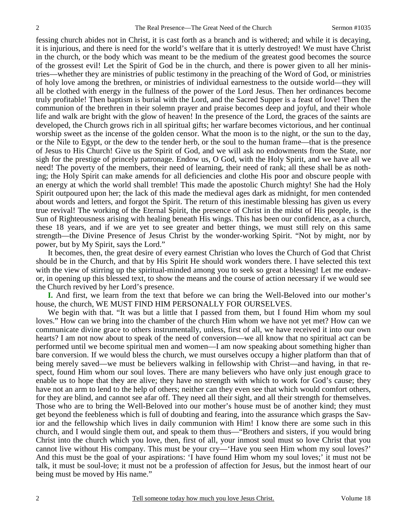fessing church abides not in Christ, it is cast forth as a branch and is withered; and while it is decaying, it is injurious, and there is need for the world's welfare that it is utterly destroyed! We must have Christ in the church, or the body which was meant to be the medium of the greatest good becomes the source of the grossest evil! Let the Spirit of God be in the church, and there is power given to all her ministries—whether they are ministries of public testimony in the preaching of the Word of God, or ministries of holy love among the brethren, or ministries of individual earnestness to the outside world—they will all be clothed with energy in the fullness of the power of the Lord Jesus. Then her ordinances become truly profitable! Then baptism is burial with the Lord, and the Sacred Supper is a feast of love! Then the communion of the brethren in their solemn prayer and praise becomes deep and joyful, and their whole life and walk are bright with the glow of heaven! In the presence of the Lord, the graces of the saints are developed, the Church grows rich in all spiritual gifts; her warfare becomes victorious, and her continual worship sweet as the incense of the golden censor. What the moon is to the night, or the sun to the day, or the Nile to Egypt, or the dew to the tender herb, or the soul to the human frame—that is the presence of Jesus to His Church! Give us the Spirit of God, and we will ask no endowments from the State, nor sigh for the prestige of princely patronage. Endow us, O God, with the Holy Spirit, and we have all we need! The poverty of the members, their need of learning, their need of rank; all these shall be as nothing; the Holy Spirit can make amends for all deficiencies and clothe His poor and obscure people with an energy at which the world shall tremble! This made the apostolic Church mighty! She had the Holy Spirit outpoured upon her; the lack of this made the medieval ages dark as midnight, for men contended about words and letters, and forgot the Spirit. The return of this inestimable blessing has given us every true revival! The working of the Eternal Spirit, the presence of Christ in the midst of His people, is the Sun of Righteousness arising with healing beneath His wings. This has been our confidence, as a church, these 18 years, and if we are yet to see greater and better things, we must still rely on this same strength—the Divine Presence of Jesus Christ by the wonder-working Spirit. "Not by might, nor by power, but by My Spirit, says the Lord."

It becomes, then, the great desire of every earnest Christian who loves the Church of God that Christ should be in the Church, and that by His Spirit He should work wonders there. I have selected this text with the view of stirring up the spiritual-minded among you to seek so great a blessing! Let me endeavor, in opening up this blessed text, to show the means and the course of action necessary if we would see the Church revived by her Lord's presence.

**I.** And first, we learn from the text that before we can bring the Well-Beloved into our mother's house, the church, WE MUST FIND HIM PERSONALLY FOR OURSELVES.

We begin with that. "It was but a little that I passed from them, but I found Him whom my soul loves." How can we bring into the chamber of the church Him whom we have not yet met? How can we communicate divine grace to others instrumentally, unless, first of all, we have received it into our own hearts? I am not now about to speak of the need of conversion—we all know that no spiritual act can be performed until we become spiritual men and women—I am now speaking about something higher than bare conversion. If we would bless the church, we must ourselves occupy a higher platform than that of being merely saved—we must be believers walking in fellowship with Christ—and having, in that respect, found Him whom our soul loves. There are many believers who have only just enough grace to enable us to hope that they are alive; they have no strength with which to work for God's cause; they have not an arm to lend to the help of others; neither can they even see that which would comfort others, for they are blind, and cannot see afar off. They need all their sight, and all their strength for themselves. Those who are to bring the Well-Beloved into our mother's house must be of another kind; they must get beyond the feebleness which is full of doubting and fearing, into the assurance which grasps the Savior and the fellowship which lives in daily communion with Him! I know there are some such in this church, and I would single them out, and speak to them thus—"Brothers and sisters, if you would bring Christ into the church which you love, then, first of all, your inmost soul must so love Christ that you cannot live without His company. This must be your cry—'Have you seen Him whom my soul loves?' And this must be the goal of your aspirations: 'I have found Him whom my soul loves;' it must not be talk, it must be soul-love; it must not be a profession of affection for Jesus, but the inmost heart of our being must be moved by His name."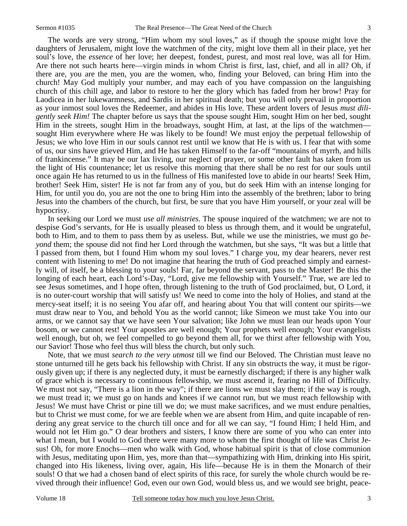The words are very strong, "Him whom my soul loves," as if though the spouse might love the daughters of Jerusalem, might love the watchmen of the city, might love them all in their place, yet her soul's love, the *essence* of her love; her deepest, fondest, purest, and most real love, was all for Him. Are there not such hearts here—virgin minds in whom Christ is first, last, chief, and all in all? Oh, if there are, you are the men, you are the women, who, finding your Beloved, can bring Him into the church! May God multiply your number, and may each of you have compassion on the languishing church of this chill age, and labor to restore to her the glory which has faded from her brow! Pray for Laodicea in her lukewarmness, and Sardis in her spiritual death; but you will only prevail in proportion as your inmost soul loves the Redeemer, and abides in His love. These ardent lovers of Jesus *must diligently seek Him!* The chapter before us says that the spouse sought Him, sought Him on her bed, sought Him in the streets, sought Him in the broadways, sought Him, at last, at the lips of the watchmen sought Him everywhere where He was likely to be found! We must enjoy the perpetual fellowship of Jesus; we who love Him in our souls cannot rest until we know that He is with us. I fear that with some of us, our sins have grieved Him, and He has taken Himself to the far-off "mountains of myrrh, and hills of frankincense." It may be our lax living, our neglect of prayer, or some other fault has taken from us the light of His countenance; let us resolve this morning that there shall be no rest for our souls until once again He has returned to us in the fullness of His manifested love to abide in our hearts! Seek Him, brother! Seek Him, sister! He is not far from any of you, but do seek Him with an intense longing for Him, for until you do, you are not the one to bring Him into the assembly of the brethren; labor to bring Jesus into the chambers of the church, but first, be sure that you have Him yourself, or your zeal will be hypocrisy.

In seeking our Lord we must *use all ministries*. The spouse inquired of the watchmen; we are not to despise God's servants, for He is usually pleased to bless us through them, and it would be ungrateful, both to Him, and to them to pass them by as useless. But, while we use the ministries, we must go *beyond* them; the spouse did not find her Lord through the watchmen, but she says, "It was but a little that I passed from them, but I found Him whom my soul loves." I charge you, my dear hearers, never rest content with listening to me! Do not imagine that hearing the truth of God preached simply and earnestly will, of itself, be a blessing to your souls! Far, far beyond the servant, pass to the Master! Be this the longing of each heart, each Lord's-Day, "Lord, give me fellowship with Yourself." True, we are led to see Jesus sometimes, and I hope often, through listening to the truth of God proclaimed, but, O Lord, it is no outer-court worship that will satisfy us! We need to come into the holy of Holies, and stand at the mercy-seat itself; it is no seeing You afar off, and hearing about You that will content our spirits—we must draw near to You, and behold You as the world cannot; like Simeon we must take You into our arms, or we cannot say that we have seen Your salvation; like John we must lean our heads upon Your bosom, or we cannot rest! Your apostles are well enough; Your prophets well enough; Your evangelists well enough, but oh, we feel compelled to go beyond them all, for we thirst after fellowship with You, our Savior! Those who feel thus will bless the church, but only such.

Note, that we must *search to the very utmost* till we find our Beloved. The Christian must leave no stone unturned till he gets back his fellowship with Christ. If any sin obstructs the way, it must be rigorously given up; if there is any neglected duty, it must be earnestly discharged; if there is any higher walk of grace which is necessary to continuous fellowship, we must ascend it, fearing no Hill of Difficulty. We must not say, "There is a lion in the way"; if there are lions we must slay them; if the way is rough, we must tread it; we must go on hands and knees if we cannot run, but we must reach fellowship with Jesus! We must have Christ or pine till we do; we must make sacrifices, and we must endure penalties, but to Christ we must come, for we are feeble when we are absent from Him, and quite incapable of rendering any great service to the church till once and for all we can say, "I found Him; I held Him, and would not let Him go." O dear brothers and sisters, I know there are some of you who can enter into what I mean, but I would to God there were many more to whom the first thought of life was Christ Jesus! Oh, for more Enochs—men who walk with God, whose habitual spirit is that of close communion with Jesus, meditating upon Him, yes, more than that—sympathizing with Him, drinking into His spirit, changed into His likeness, living over, again, His life—because He is in them the Monarch of their souls! O that we had a chosen band of elect spirits of this race, for surely the whole church would be revived through their influence! God, even our own God, would bless us, and we would see bright, peace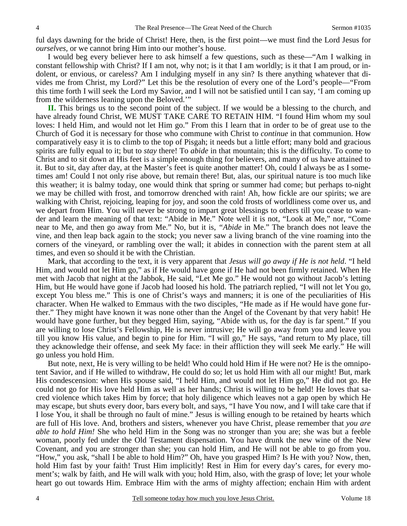ful days dawning for the bride of Christ! Here, then, is the first point—we must find the Lord Jesus for *ourselves,* or we cannot bring Him into our mother's house.

I would beg every believer here to ask himself a few questions, such as these—"Am I walking in constant fellowship with Christ? If I am not, why not; is it that I am worldly; is it that I am proud, or indolent, or envious, or careless? Am I indulging myself in any sin? Is there anything whatever that divides me from Christ, my Lord?" Let this be the resolution of every one of the Lord's people—"From this time forth I will seek the Lord my Savior, and I will not be satisfied until I can say, 'I am coming up from the wilderness leaning upon the Beloved.'"

**II.** This brings us to the second point of the subject. If we would be a blessing to the church, and have already found Christ, WE MUST TAKE CARE TO RETAIN HIM. "I found Him whom my soul loves: I held Him, and would not let Him go." From this I learn that in order to be of great use to the Church of God it is necessary for those who commune with Christ to *continue* in that communion. How comparatively easy it is to climb to the top of Pisgah; it needs but a little effort; many bold and gracious spirits are fully equal to it; but to *stay* there! To *abide* in that mountain; this is the difficulty. To come to Christ and to sit down at His feet is a simple enough thing for believers, and many of us have attained to it. But to sit, day after day, at the Master's feet is quite another matter! Oh, could I always be as I sometimes am! Could I not only rise above, but remain there! But, alas, our spiritual nature is too much like this weather; it is balmy today, one would think that spring or summer had come; but perhaps to-night we may be chilled with frost, and tomorrow drenched with rain! Ah, how fickle are our spirits; we are walking with Christ, rejoicing, leaping for joy, and soon the cold frosts of worldliness come over us, and we depart from Him. You will never be strong to impart great blessings to others till you cease to wander and learn the meaning of that text: "Abide in Me." Note well it is not, "Look at Me," nor, "Come near to Me, and then go away from Me." No, but it is, *"Abide* in Me." The branch does not leave the vine, and then leap back again to the stock; you never saw a living branch of the vine roaming into the corners of the vineyard, or rambling over the wall; it abides in connection with the parent stem at all times, and even so should it be with the Christian.

Mark, that according to the text, it is very apparent that *Jesus will go away if He is not held*. "I held Him, and would not let Him go," as if He would have gone if He had not been firmly retained. When He met with Jacob that night at the Jabbok, He said, "Let Me go." He would not go without Jacob's letting Him, but He would have gone if Jacob had loosed his hold. The patriarch replied, "I will not let You go, except You bless me." This is one of Christ's ways and manners; it is one of the peculiarities of His character. When He walked to Emmaus with the two disciples, "He made as if He would have gone further." They might have known it was none other than the Angel of the Covenant by that very habit! He would have gone further, but they begged Him, saying, "Abide with us, for the day is far spent." If you are willing to lose Christ's Fellowship, He is never intrusive; He will go away from you and leave you till you know His value, and begin to pine for Him. "I will go," He says, "and return to My place, till they acknowledge their offense, and seek My face: in their affliction they will seek Me early." He will go unless you hold Him.

But note, next, He is very willing to be held! Who could hold Him if He were not? He is the omnipotent Savior, and if He willed to withdraw, He could do so; let us hold Him with all our might! But, mark His condescension: when His spouse said, "I held Him, and would not let Him go," He did not go. He could not go for His love held Him as well as her hands; Christ is willing to be held! He loves that sacred violence which takes Him by force; that holy diligence which leaves not a gap open by which He may escape, but shuts every door, bars every bolt, and says, "I have You now, and I will take care that if I lose You, it shall be through no fault of mine." Jesus is willing enough to be retained by hearts which are full of His love. And, brothers and sisters, whenever you have Christ, please remember that *you are able to hold Him!* She who held Him in the Song was no stronger than you are; she was but a feeble woman, poorly fed under the Old Testament dispensation. You have drunk the new wine of the New Covenant, and you are stronger than she; you can hold Him, and He will not be able to go from you. "How," you ask, "shall I be able to hold Him?" Oh, have you grasped Him? Is He with you? Now, then, hold Him fast by your faith! Trust Him implicitly! Rest in Him for every day's cares, for every moment's; walk by faith, and He will walk with you; hold Him, also, with the grasp of love; let your whole heart go out towards Him. Embrace Him with the arms of mighty affection; enchain Him with ardent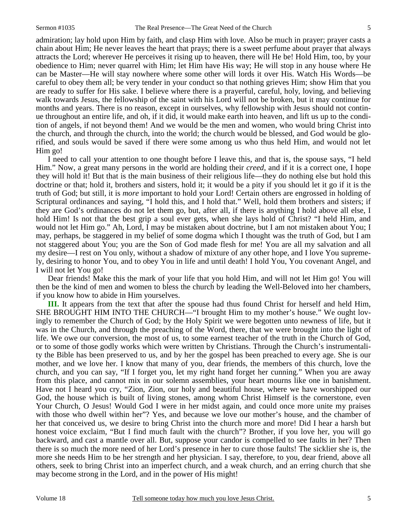admiration; lay hold upon Him by faith, and clasp Him with love. Also be much in prayer; prayer casts a chain about Him; He never leaves the heart that prays; there is a sweet perfume about prayer that always attracts the Lord; wherever He perceives it rising up to heaven, there will He be! Hold Him, too, by your obedience to Him; never quarrel with Him; let Him have His way; He will stop in any house where He can be Master—He will stay nowhere where some other will lords it over His. Watch His Words—be careful to obey them all; be very tender in your conduct so that nothing grieves Him; show Him that you are ready to suffer for His sake. I believe where there is a prayerful, careful, holy, loving, and believing walk towards Jesus, the fellowship of the saint with his Lord will not be broken, but it may continue for months and years. There is no reason, except in ourselves, why fellowship with Jesus should not continue throughout an entire life, and oh, if it did, it would make earth into heaven, and lift us up to the condition of angels, if not beyond them! And we would be the men and women, who would bring Christ into the church, and through the church, into the world; the church would be blessed, and God would be glorified, and souls would be saved if there were some among us who thus held Him, and would not let Him go!

I need to call your attention to one thought before I leave this, and that is, the spouse says, "I held Him." Now, a great many persons in the world are holding their *creed,* and if it is a correct one, I hope they will hold it! But that is the main business of their religious life—they do nothing else but hold this doctrine or that; hold it, brothers and sisters, hold it; it would be a pity if you should let it go if it is the truth of God; but still, it is *more* important to hold your Lord! Certain others are engrossed in holding of Scriptural ordinances and saying, "I hold this, and I hold that." Well, hold them brothers and sisters; if they are God's ordinances do not let them go, but, after all, if there is anything I hold above all else, I hold Him! Is not that the best grip a soul ever gets, when she lays hold of Christ? "I held Him, and would not let Him go." Ah, Lord, I may be mistaken about doctrine, but I am not mistaken about You; I may, perhaps, be staggered in my belief of some dogma which I thought was the truth of God, but I am not staggered about You; you are the Son of God made flesh for me! You are all my salvation and all my desire—I rest on You only, without a shadow of mixture of any other hope, and I love You supremely, desiring to honor You, and to obey You in life and until death! I hold You, You covenant Angel, and I will not let You go!

Dear friends! Make this the mark of your life that you hold Him, and will not let Him go! You will then be the kind of men and women to bless the church by leading the Well-Beloved into her chambers, if you know how to abide in Him yourselves.

**III.** It appears from the text that after the spouse had thus found Christ for herself and held Him, SHE BROUGHT HIM INTO THE CHURCH—"I brought Him to my mother's house." We ought lovingly to remember the Church of God; by the Holy Spirit we were begotten unto newness of life, but it was in the Church, and through the preaching of the Word, there, that we were brought into the light of life. We owe our conversion, the most of us, to some earnest teacher of the truth in the Church of God, or to some of those godly works which were written by Christians. Through the Church's instrumentality the Bible has been preserved to us, and by her the gospel has been preached to every age. She is our mother, and we love her. I know that many of you, dear friends, the members of this church, love the church, and you can say, "If I forget you, let my right hand forget her cunning." When you are away from this place, and cannot mix in our solemn assemblies, your heart mourns like one in banishment. Have not I heard you cry, "Zion, Zion, our holy and beautiful house, where we have worshipped our God, the house which is built of living stones, among whom Christ Himself is the cornerstone, even Your Church, O Jesus! Would God I were in her midst again, and could once more unite my praises with those who dwell within her"? Yes, and because we love our mother's house, and the chamber of her that conceived us, we desire to bring Christ into the church more and more! Did I hear a harsh but honest voice exclaim, "But I find much fault with the church"? Brother, if you love her, you will go backward, and cast a mantle over all. But, suppose your candor is compelled to see faults in her? Then there is so much the more need of her Lord's presence in her to cure those faults! The sicklier she is, the more she needs Him to be her strength and her physician. I say, therefore, to you, dear friend, above all others, seek to bring Christ into an imperfect church, and a weak church, and an erring church that she may become strong in the Lord, and in the power of His might!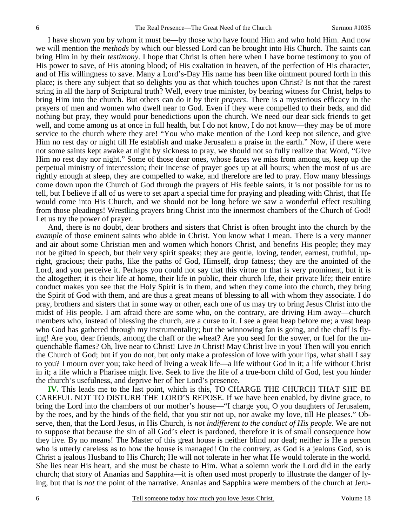I have shown you by whom it must be—by those who have found Him and who hold Him. And now we will mention the *methods* by which our blessed Lord can be brought into His Church. The saints can bring Him in by their *testimony*. I hope that Christ is often here when I have borne testimony to you of His power to save, of His atoning blood; of His exaltation in heaven, of the perfection of His character, and of His willingness to save. Many a Lord's-Day His name has been like ointment poured forth in this place; is there any subject that so delights you as that which touches upon Christ? Is not that the rarest string in all the harp of Scriptural truth? Well, every true minister, by bearing witness for Christ, helps to bring Him into the church. But others can do it by their *prayers*. There is a mysterious efficacy in the prayers of men and women who dwell near to God. Even if they were compelled to their beds, and did nothing but pray, they would pour benedictions upon the church. We need our dear sick friends to get well, and come among us at once in full health, but I do not know, I do not know—they may be of more service to the church where they are! "You who make mention of the Lord keep not silence, and give Him no rest day or night till He establish and make Jerusalem a praise in the earth." Now, if there were not some saints kept awake at night by sickness to pray, we should not so fully realize that Word, "Give Him no rest day nor night." Some of those dear ones, whose faces we miss from among us, keep up the perpetual ministry of intercession; their incense of prayer goes up at all hours; when the most of us are rightly enough at sleep, they are compelled to wake, and therefore are led to pray. How many blessings come down upon the Church of God through the prayers of His feeble saints, it is not possible for us to tell, but I believe if all of us were to set apart a special time for praying and pleading with Christ, that He would come into His Church, and we should not be long before we saw a wonderful effect resulting from those pleadings! Wrestling prayers bring Christ into the innermost chambers of the Church of God! Let us try the power of prayer.

And, there is no doubt, dear brothers and sisters that Christ is often brought into the church by the *example* of those eminent saints who abide in Christ. You know what I mean. There is a very manner and air about some Christian men and women which honors Christ, and benefits His people; they may not be gifted in speech, but their very spirit speaks; they are gentle, loving, tender, earnest, truthful, upright, gracious; their paths, like the paths of God, Himself, drop fatness; they are the anointed of the Lord, and you perceive it. Perhaps you could not say that this virtue or that is very prominent, but it is the altogether; it is their life at home, their life in public, their church life, their private life; their entire conduct makes you see that the Holy Spirit is in them, and when they come into the church, they bring the Spirit of God with them, and are thus a great means of blessing to all with whom they associate. I do pray, brothers and sisters that in some way or other, each one of us may try to bring Jesus Christ into the midst of His people. I am afraid there are some who, on the contrary, are driving Him away—church members who, instead of blessing the church, are a curse to it. I see a great heap before me; a vast heap who God has gathered through my instrumentality; but the winnowing fan is going, and the chaff is flying! Are you, dear friends, among the chaff or the wheat? Are you seed for the sower, or fuel for the unquenchable flames? Oh, live near to Christ! Live *in* Christ! May Christ live in you! Then will you enrich the Church of God; but if you do not, but only make a profession of love with your lips, what shall I say to you? I mourn over you; take heed of living a weak life—a life without God in it; a life without Christ in it; a life which a Pharisee might live. Seek to live the life of a true-born child of God, lest you hinder the church's usefulness, and deprive her of her Lord's presence.

**IV.** This leads me to the last point, which is this, TO CHARGE THE CHURCH THAT SHE BE CAREFUL NOT TO DISTURB THE LORD'S REPOSE. If we have been enabled, by divine grace, to bring the Lord into the chambers of our mother's house—"I charge you, O you daughters of Jerusalem, by the roes, and by the hinds of the field, that you stir not up, nor awake my love, till He pleases." Observe, then, that the Lord Jesus, *in* His Church*, is not indifferent to the conduct of His people.* We are not to suppose that because the sin of all God's elect is pardoned, therefore it is of small consequence how they live. By no means! The Master of this great house is neither blind nor deaf; neither is He a person who is utterly careless as to how the house is managed! On the contrary, as God is a jealous God, so is Christ a jealous Husband to His Church; He will not tolerate in her what He would tolerate in the world. She lies near His heart, and she must be chaste to Him. What a solemn work the Lord did in the early church; that story of Ananias and Sapphira—it is often used most properly to illustrate the danger of lying, but that is *not* the point of the narrative. Ananias and Sapphira were members of the church at Jeru-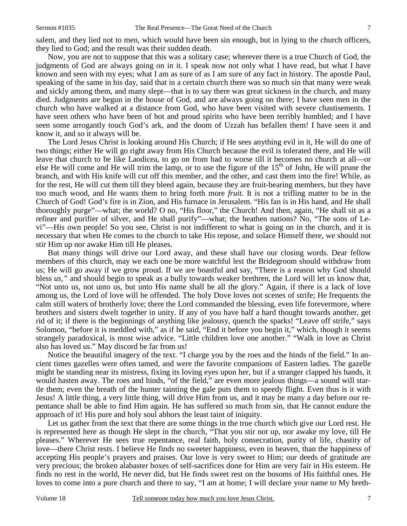7

salem, and they lied not to men, which would have been sin enough, but in lying to the church officers, they lied to God; and the result was their sudden death.

Now, you are not to suppose that this was a solitary case; wherever there is a true Church of God, the judgments of God are always going on in it. I speak now not only what I have read, but what I have known and seen with my eyes; what I am as sure of as I am sure of any fact in history. The apostle Paul, speaking of the same in his day, said that in a certain church there was so much sin that many were weak and sickly among them, and many slept—that is to say there was great sickness in the church, and many died. Judgments are begun in the house of God, and are always going on there; I have seen men in the church who have walked at a distance from God, who have been visited with severe chastisements. I have seen others who have been of hot and proud spirits who have been terribly humbled; and I have seen some arrogantly touch God's ark, and the doom of Uzzah has befallen them! I have seen it and know it, and so it always will be.

The Lord Jesus Christ is looking around His Church; if He sees anything evil in it, He will do one of two things; either He will go right away from His Church because the evil is tolerated there, and He will leave that church to be like Laodicea, to go on from bad to worse till it becomes no church at all—or else He will come and He will trim the lamp, or to use the figure of the  $15<sup>th</sup>$  of John, He will prune the branch, and with His knife will cut off this member, and the other, and cast them into the fire! While, as for the rest, He will cut them till they bleed again, because they are fruit-bearing members, but they have too much wood, and He wants them to bring forth more *fruit*. It is not a trifling matter to be in the Church of God! God's fire is in Zion, and His furnace in Jerusalem. "His fan is in His hand, and He shall thoroughly purge"—what; the world? O no, "His floor," the Church! And then, again, "He shall sit as a refiner and purifier of silver, and He shall purify"—what; the heathen nations? No, "The sons of Levi"—His own people! So you see, Christ is not indifferent to what is going on in the church, and it is necessary that when He comes to the church to take His repose, and solace Himself there, we should not stir Him up nor awake Him till He pleases.

But many things will drive our Lord away, and these shall have our closing words. Dear fellow members of this church, may we each one be more watchful lest the Bridegroom should withdraw from us; He will go away if we grow proud. If we are boastful and say, "There is a reason why God should bless *us,"* and should begin to speak as a bully towards weaker brethren, the Lord will let us know that, "Not unto us, not unto us, but unto His name shall be all the glory." Again, if there is a lack of love among us, the Lord of love will be offended. The holy Dove loves not scenes of strife; He frequents the calm still waters of brotherly love; there the Lord commanded the blessing, even life forevermore, where brothers and sisters dwelt together in unity. If any of you have half a hard thought towards another, get rid of it; if there is the beginnings of anything like jealousy, quench the sparks! "Leave off strife," says Solomon, "before it is meddled with," as if he said, "End it before you begin it," which, though it seems strangely paradoxical, is most wise advice. "Little children love one another." "Walk in love as Christ also has loved us." May discord be far from us!

Notice the beautiful imagery of the text. "I charge you by the roes and the hinds of the field." In ancient times gazelles were often tamed, and were the favorite companions of Eastern ladies. The gazelle might be standing near its mistress, fixing its loving eyes upon her, but if a stranger clapped his hands, it would hasten away. The roes and hinds, "of the field," are even more jealous things—a sound will startle them; even the breath of the hunter tainting the gale puts them to speedy flight. Even thus is it with Jesus! A little thing, a very little thing, will drive Him from us, and it may be many a day before our repentance shall be able to find Him again. He has suffered so much from sin, that He cannot endure the approach of it! His pure and holy soul abhors the least taint of iniquity.

Let us gather from the text that there are some things in the true church which give our Lord rest. He is represented here as though He slept in the church, "That you stir not up, nor awake my love, till He pleases." Wherever He sees true repentance, real faith, holy consecration, purity of life, chastity of love—there Christ rests. I believe He finds no sweeter happiness, even in heaven, than the happiness of accepting His people's prayers and praises. Our love is very sweet to Him; our deeds of gratitude are very precious; the broken alabaster boxes of self-sacrifices done for Him are very fair in His esteem. He finds no rest in the world, He never did, but He finds sweet rest on the bosoms of His faithful ones. He loves to come into a pure church and there to say, "I am at home; I will declare your name to My breth